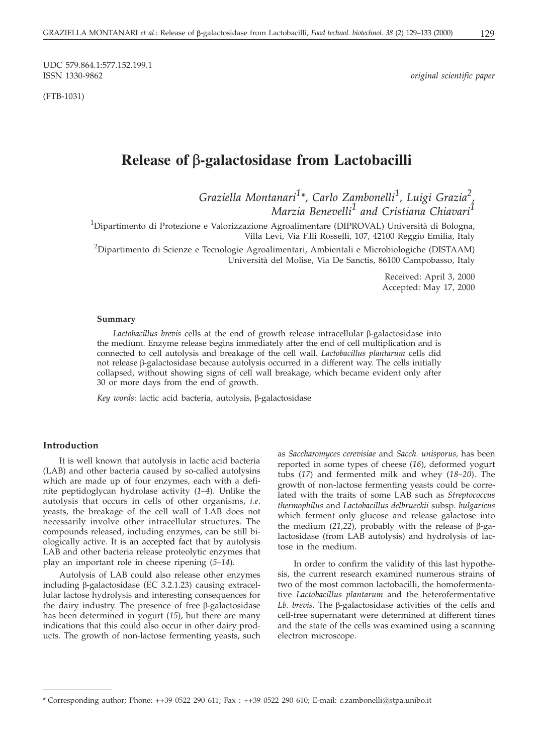(FTB-1031)

 $original$  scientific paper

# **Release of -galactosidase from Lactobacilli**

*Graziella Montanari<sup>1</sup> \*, Carlo Zambonelli<sup>1</sup> , Luigi Grazia<sup>2</sup> , Marzia Benevelli<sup>1</sup> and Cristiana Chiavari<sup>1</sup>*

<sup>1</sup>Dipartimento di Protezione e Valorizzazione Agroalimentare (DIPROVAL) Università di Bologna, Villa Levi, Via F.lli Rosselli, 107, 42100 Reggio Emilia, Italy

<sup>2</sup>Dipartimento di Scienze e Tecnologie Agroalimentari, Ambientali e Microbiologiche (DISTAAM) Università del Molise, Via De Sanctis, 86100 Campobasso, Italy

> Received: April 3, 2000 Accepted: May 17, 2000

#### **Summary**

 $Lactobacillus$  *brevis* cells at the end of growth release intracellular  $\beta$ -galactosidase into the medium. Enzyme release begins immediately after the end of cell multiplication and is connected to cell autolysis and breakage of the cell wall. *Lactobacillus plantarum* cells did not release  $\beta$ -galactosidase because autolysis occurred in a different way. The cells initially collapsed, without showing signs of cell wall breakage, which became evident only after 30 or more days from the end of growth.

*Key words*: lactic acid bacteria, autolysis, β-galactosidase

# **Introduction**

It is well known that autolysis in lactic acid bacteria (LAB) and other bacteria caused by so-called autolysins which are made up of four enzymes, each with a definite peptidoglycan hydrolase activity (*1–4*). Unlike the autolysis that occurs in cells of other organisms, *i.e*. yeasts, the breakage of the cell wall of LAB does not necessarily involve other intracellular structures. The compounds released, including enzymes, can be still biologically active. It is an accepted fact that by autolysis LAB and other bacteria release proteolytic enzymes that play an important role in cheese ripening (*5–14*).

Autolysis of LAB could also release other enzymes including  $\beta$ -galactosidase (EC 3.2.1.23) causing extracellular lactose hydrolysis and interesting consequences for the dairy industry. The presence of free  $\beta$ -galactosidase has been determined in yogurt (*15*), but there are many indications that this could also occur in other dairy products. The growth of non-lactose fermenting yeasts, such

as *Saccharomyces cerevisiae* and *Sacch. unisporus,* has been reported in some types of cheese (*16*), deformed yogurt tubs (*17*) and fermented milk and whey (*18–20*). The growth of non-lactose fermenting yeasts could be correlated with the traits of some LAB such as *Streptococcus thermophilus* and *Lactobacillus delbrueckii* subsp. *bulgaricus* which ferment only glucose and release galactose into the medium  $(21,22)$ , probably with the release of  $\beta$ -galactosidase (from LAB autolysis) and hydrolysis of lactose in the medium.

In order to confirm the validity of this last hypothesis, the current research examined numerous strains of two of the most common lactobacilli, the homofermentative *Lactobacillus plantarum* and the heterofermentative  $Lb$ . *brevis*. The  $\beta$ -galactosidase activities of the cells and cell-free supernatant were determined at different times and the state of the cells was examined using a scanning electron microscope.

<sup>\*</sup> Corresponding author; Phone: ++39 0522 290 611; Fax : ++39 0522 290 610; E-mail: c.zambonelli*@*stpa.unibo.it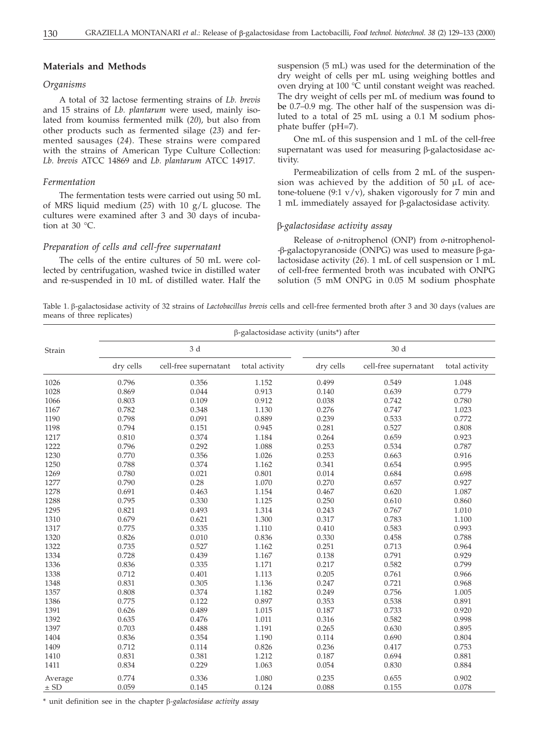# **Materials and Methods**

# *Organisms*

A total of 32 lactose fermenting strains of *Lb. brevis* and 15 strains of *Lb. plantarum* were used, mainly isolated from koumiss fermented milk (*20*), but also from other products such as fermented silage (*23*) and fermented sausages (*24*). These strains were compared with the strains of American Type Culture Collection: *Lb. brevis* ATCC 14869 and *Lb. plantarum* ATCC 14917.

## *Fermentation*

The fermentation tests were carried out using 50 mL of MRS liquid medium (*25*) with 10 g/L glucose. The cultures were examined after 3 and 30 days of incubation at 30 °C.

## *Preparation of cells and cell-free supernatant*

The cells of the entire cultures of 50 mL were collected by centrifugation, washed twice in distilled water and re-suspended in 10 mL of distilled water. Half the suspension (5 mL) was used for the determination of the dry weight of cells per mL using weighing bottles and oven drying at 100 °C until constant weight was reached. The dry weight of cells per mL of medium was found to be 0.7–0.9 mg. The other half of the suspension was diluted to a total of 25 mL using a 0.1 M sodium phosphate buffer (pH=7).

One mL of this suspension and 1 mL of the cell-free supernatant was used for measuring  $\beta$ -galactosidase activity.

Permeabilization of cells from 2 mL of the suspension was achieved by the addition of 50  $\upmu\rm L$  of acetone-toluene (9:1  $v/v$ ), shaken vigorously for 7 min and  $1$  mL immediately assayed for  $\beta$ -galactosidase activity.

### *-galactosidase activity assay*

Release of *o*-nitrophenol (ONP) from *o*-nitrophenol-  $-$ β-galactopyranoside (ONPG) was used to measure  $\beta$ -galactosidase activity (*26*). 1 mL of cell suspension or 1 mL of cell-free fermented broth was incubated with ONPG solution (5 mM ONPG in 0.05 M sodium phosphate

Table 1.  $\beta$ -galactosidase activity of 32 strains of *Lactobacillus brevis* cells and cell-free fermented broth after 3 and 30 days (values are means of three replicates)

|          | $\beta$ -galactosidase activity (units*) after |                       |                |           |                       |                |  |  |  |
|----------|------------------------------------------------|-----------------------|----------------|-----------|-----------------------|----------------|--|--|--|
| Strain   |                                                | 3 d                   |                | 30 d      |                       |                |  |  |  |
|          | dry cells                                      | cell-free supernatant | total activity | dry cells | cell-free supernatant | total activity |  |  |  |
| 1026     | 0.796                                          | 0.356                 | 1.152          | 0.499     | 0.549                 | 1.048          |  |  |  |
| 1028     | 0.869                                          | 0.044                 | 0.913          | 0.140     | 0.639                 | 0.779          |  |  |  |
| 1066     | 0.803                                          | 0.109                 | 0.912          | 0.038     | 0.742                 | 0.780          |  |  |  |
| 1167     | 0.782                                          | 0.348                 | 1.130          | 0.276     | 0.747                 | 1.023          |  |  |  |
| 1190     | 0.798                                          | 0.091                 | 0.889          | 0.239     | 0.533                 | 0.772          |  |  |  |
| 1198     | 0.794                                          | 0.151                 | 0.945          | 0.281     | 0.527                 | 0.808          |  |  |  |
| 1217     | 0.810                                          | 0.374                 | 1.184          | 0.264     | 0.659                 | 0.923          |  |  |  |
| 1222     | 0.796                                          | 0.292                 | 1.088          | 0.253     | 0.534                 | 0.787          |  |  |  |
| 1230     | 0.770                                          | 0.356                 | 1.026          | 0.253     | 0.663                 | 0.916          |  |  |  |
| 1250     | 0.788                                          | 0.374                 | 1.162          | 0.341     | 0.654                 | 0.995          |  |  |  |
| 1269     | 0.780                                          | 0.021                 | 0.801          | 0.014     | 0.684                 | 0.698          |  |  |  |
| 1277     | 0.790                                          | 0.28                  | 1.070          | 0.270     | 0.657                 | 0.927          |  |  |  |
| 1278     | 0.691                                          | 0.463                 | 1.154          | 0.467     | 0.620                 | 1.087          |  |  |  |
| 1288     | 0.795                                          | 0.330                 | 1.125          | 0.250     | 0.610                 | 0.860          |  |  |  |
| 1295     | 0.821                                          | 0.493                 | 1.314          | 0.243     | 0.767                 | 1.010          |  |  |  |
| 1310     | 0.679                                          | 0.621                 | 1.300          | 0.317     | 0.783                 | 1.100          |  |  |  |
| 1317     | 0.775                                          | 0.335                 | 1.110          | 0.410     | 0.583                 | 0.993          |  |  |  |
| 1320     | 0.826                                          | 0.010                 | 0.836          | 0.330     | 0.458                 | 0.788          |  |  |  |
| 1322     | 0.735                                          | 0.527                 | 1.162          | 0.251     | 0.713                 | 0.964          |  |  |  |
| 1334     | 0.728                                          | 0.439                 | 1.167          | 0.138     | 0.791                 | 0.929          |  |  |  |
| 1336     | 0.836                                          | 0.335                 | 1.171          | 0.217     | 0.582                 | 0.799          |  |  |  |
| 1338     | 0.712                                          | 0.401                 | 1.113          | 0.205     | 0.761                 | 0.966          |  |  |  |
| 1348     | 0.831                                          | 0.305                 | 1.136          | 0.247     | 0.721                 | 0.968          |  |  |  |
| 1357     | 0.808                                          | 0.374                 | 1.182          | 0.249     | 0.756                 | 1.005          |  |  |  |
| 1386     | 0.775                                          | 0.122                 | 0.897          | 0.353     | 0.538                 | 0.891          |  |  |  |
| 1391     | 0.626                                          | 0.489                 | 1.015          | 0.187     | 0.733                 | 0.920          |  |  |  |
| 1392     | 0.635                                          | 0.476                 | 1.011          | 0.316     | 0.582                 | 0.998          |  |  |  |
| 1397     | 0.703                                          | 0.488                 | 1.191          | 0.265     | 0.630                 | 0.895          |  |  |  |
| 1404     | 0.836                                          | 0.354                 | 1.190          | 0.114     | 0.690                 | 0.804          |  |  |  |
| 1409     | 0.712                                          | 0.114                 | 0.826          | 0.236     | 0.417                 | 0.753          |  |  |  |
| 1410     | 0.831                                          | 0.381                 | 1.212          | 0.187     | 0.694                 | 0.881          |  |  |  |
| 1411     | 0.834                                          | 0.229                 | 1.063          | 0.054     | 0.830                 | 0.884          |  |  |  |
| Average  | 0.774                                          | 0.336                 | 1.080          | 0.235     | 0.655                 | 0.902          |  |  |  |
| $\pm$ SD | 0.059                                          | 0.145                 | 0.124          | 0.088     | 0.155                 | 0.078          |  |  |  |

\* unit definition see in the chapter *-galactosidase activity assay*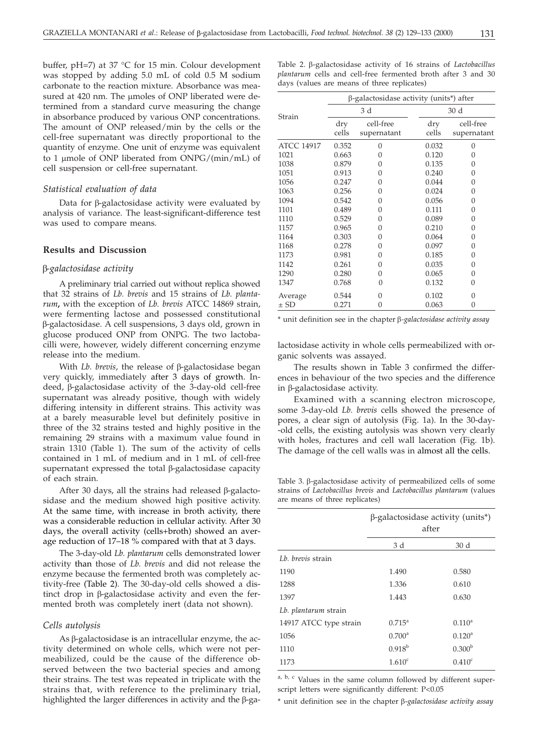buffer, pH=7) at 37 °C for 15 min. Colour development was stopped by adding 5.0 mL of cold 0.5 M sodium carbonate to the reaction mixture. Absorbance was measured at 420 nm. The µmoles of ONP liberated were determined from a standard curve measuring the change in absorbance produced by various ONP concentrations. The amount of ONP released/min by the cells or the cell-free supernatant was directly proportional to the quantity of enzyme. One unit of enzyme was equivalent to 1 μmole of ONP liberated from ONPG/(min/mL) of cell suspension or cell-free supernatant.

#### *Statistical evaluation of data*

Data for  $\beta$ -galactosidase activity were evaluated by analysis of variance. The least-significant-difference test was used to compare means.

## **Results and Discussion**

#### *-galactosidase activity*

A preliminary trial carried out without replica showed that 32 strains of *Lb. brevis* and 15 strains of *Lb. plantarum***,** with the exception of *Lb. brevis* ATCC 14869 strain, were fermenting lactose and possessed constitutional -galactosidase. A cell suspensions, 3 days old, grown in glucose produced ONP from ONPG. The two lactobacilli were, however, widely different concerning enzyme release into the medium.

With *Lb. brevis*, the release of  $\beta$ -galactosidase began very quickly, immediately after 3 days of growth. Indeed,  $\beta$ -galactosidase activity of the 3-day-old cell-free supernatant was already positive, though with widely differing intensity in different strains. This activity was at a barely measurable level but definitely positive in three of the 32 strains tested and highly positive in the remaining 29 strains with a maximum value found in strain 1310 (Table 1). The sum of the activity of cells contained in 1 mL of medium and in 1 mL of cell-free supernatant expressed the total  $\beta$ -galactosidase capacity of each strain.

After 30 days, all the strains had released  $\beta$ -galactosidase and the medium showed high positive activity. At the same time, with increase in broth activity, there was a considerable reduction in cellular activity. After 30 days, the overall activity (cells+broth) showed an average reduction of 17–18 % compared with that at 3 days.

The 3-day-old *Lb. plantarum* cells demonstrated lower activity than those of *Lb. brevis* and did not release the enzyme because the fermented broth was completely activity-free (Table 2). The 30-day-old cells showed a distinct drop in  $\beta$ -galactosidase activity and even the fermented broth was completely inert (data not shown).

### *Cells autolysis*

 $As \beta$ -galactosidase is an intracellular enzyme, the activity determined on whole cells, which were not permeabilized, could be the cause of the difference observed between the two bacterial species and among their strains. The test was repeated in triplicate with the strains that, with reference to the preliminary trial, highlighted the larger differences in activity and the  $\beta$ -ga-

| Table 2. β-galactosidase activity of 16 strains of <i>Lactobacillus</i> |  |  |  |  |  |  |  |  |  |  |
|-------------------------------------------------------------------------|--|--|--|--|--|--|--|--|--|--|
| plantarum cells and cell-free fermented broth after 3 and 30            |  |  |  |  |  |  |  |  |  |  |
| days (values are means of three replicates)                             |  |  |  |  |  |  |  |  |  |  |

| β-galactosidase activity (units*) after<br>30 d<br>3 d<br>Strain<br>cell-free<br>cell-free<br>dry<br>dry<br>cells<br>cells<br>supernatant<br><b>ATCC 14917</b><br>0.352<br>$\Omega$<br>0.032<br>0<br>1021<br>0.663<br>0.120<br>$\Omega$<br>0<br>1038<br>0.879<br>0.135<br>0<br>0<br>1051<br>0.913<br>0.240<br>0<br>0<br>1056<br>0.247<br>0.044<br>0<br>0<br>1063<br>0.256<br>0.024<br>0<br>0<br>1094<br>0.542<br>0.056<br>0<br>0<br>0.111<br>1101<br>0.489<br>0<br>0<br>1110<br>0.529<br>0.089<br>0<br>0<br>0.210<br>1157<br>0.965<br>$\Omega$<br>0<br>1164<br>0.303<br>0.064<br>$\Omega$<br>0<br>1168<br>0.278<br>0.097<br>0<br>0<br>1173<br>0.981<br>0.185<br>0<br>0<br>1142<br>0.261<br>0.035<br>0<br>0<br>1290<br>0.065<br>0.280<br>0<br>$\Omega$<br>1347<br>0.768<br>0.132<br>$\Omega$<br>0<br>0.102<br>0.544<br>0<br>0<br>Average<br>0.063<br>$\pm$ SD<br>0.271<br>$\Omega$<br>0 |  |  |  |             |  |  |  |
|----------------------------------------------------------------------------------------------------------------------------------------------------------------------------------------------------------------------------------------------------------------------------------------------------------------------------------------------------------------------------------------------------------------------------------------------------------------------------------------------------------------------------------------------------------------------------------------------------------------------------------------------------------------------------------------------------------------------------------------------------------------------------------------------------------------------------------------------------------------------------------------|--|--|--|-------------|--|--|--|
|                                                                                                                                                                                                                                                                                                                                                                                                                                                                                                                                                                                                                                                                                                                                                                                                                                                                                        |  |  |  |             |  |  |  |
|                                                                                                                                                                                                                                                                                                                                                                                                                                                                                                                                                                                                                                                                                                                                                                                                                                                                                        |  |  |  |             |  |  |  |
|                                                                                                                                                                                                                                                                                                                                                                                                                                                                                                                                                                                                                                                                                                                                                                                                                                                                                        |  |  |  |             |  |  |  |
|                                                                                                                                                                                                                                                                                                                                                                                                                                                                                                                                                                                                                                                                                                                                                                                                                                                                                        |  |  |  | supernatant |  |  |  |
|                                                                                                                                                                                                                                                                                                                                                                                                                                                                                                                                                                                                                                                                                                                                                                                                                                                                                        |  |  |  |             |  |  |  |
|                                                                                                                                                                                                                                                                                                                                                                                                                                                                                                                                                                                                                                                                                                                                                                                                                                                                                        |  |  |  |             |  |  |  |
|                                                                                                                                                                                                                                                                                                                                                                                                                                                                                                                                                                                                                                                                                                                                                                                                                                                                                        |  |  |  |             |  |  |  |
|                                                                                                                                                                                                                                                                                                                                                                                                                                                                                                                                                                                                                                                                                                                                                                                                                                                                                        |  |  |  |             |  |  |  |
|                                                                                                                                                                                                                                                                                                                                                                                                                                                                                                                                                                                                                                                                                                                                                                                                                                                                                        |  |  |  |             |  |  |  |
|                                                                                                                                                                                                                                                                                                                                                                                                                                                                                                                                                                                                                                                                                                                                                                                                                                                                                        |  |  |  |             |  |  |  |
|                                                                                                                                                                                                                                                                                                                                                                                                                                                                                                                                                                                                                                                                                                                                                                                                                                                                                        |  |  |  |             |  |  |  |
|                                                                                                                                                                                                                                                                                                                                                                                                                                                                                                                                                                                                                                                                                                                                                                                                                                                                                        |  |  |  |             |  |  |  |
|                                                                                                                                                                                                                                                                                                                                                                                                                                                                                                                                                                                                                                                                                                                                                                                                                                                                                        |  |  |  |             |  |  |  |
|                                                                                                                                                                                                                                                                                                                                                                                                                                                                                                                                                                                                                                                                                                                                                                                                                                                                                        |  |  |  |             |  |  |  |
|                                                                                                                                                                                                                                                                                                                                                                                                                                                                                                                                                                                                                                                                                                                                                                                                                                                                                        |  |  |  |             |  |  |  |
|                                                                                                                                                                                                                                                                                                                                                                                                                                                                                                                                                                                                                                                                                                                                                                                                                                                                                        |  |  |  |             |  |  |  |
|                                                                                                                                                                                                                                                                                                                                                                                                                                                                                                                                                                                                                                                                                                                                                                                                                                                                                        |  |  |  |             |  |  |  |
|                                                                                                                                                                                                                                                                                                                                                                                                                                                                                                                                                                                                                                                                                                                                                                                                                                                                                        |  |  |  |             |  |  |  |
|                                                                                                                                                                                                                                                                                                                                                                                                                                                                                                                                                                                                                                                                                                                                                                                                                                                                                        |  |  |  |             |  |  |  |
|                                                                                                                                                                                                                                                                                                                                                                                                                                                                                                                                                                                                                                                                                                                                                                                                                                                                                        |  |  |  |             |  |  |  |
|                                                                                                                                                                                                                                                                                                                                                                                                                                                                                                                                                                                                                                                                                                                                                                                                                                                                                        |  |  |  |             |  |  |  |
|                                                                                                                                                                                                                                                                                                                                                                                                                                                                                                                                                                                                                                                                                                                                                                                                                                                                                        |  |  |  |             |  |  |  |

\* unit definition see in the chapter *-galactosidase activity assay*

lactosidase activity in whole cells permeabilized with organic solvents was assayed.

The results shown in Table 3 confirmed the differences in behaviour of the two species and the difference in  $\beta$ -galactosidase activity.

Examined with a scanning electron microscope, some 3-day-old *Lb. brevis* cells showed the presence of pores, a clear sign of autolysis (Fig. 1a). In the 30-day- -old cells, the existing autolysis was shown very clearly with holes, fractures and cell wall laceration (Fig. 1b). The damage of the cell walls was in almost all the cells.

Table 3.  $\beta$ -galactosidase activity of permeabilized cells of some strains of *Lactobacillus brevis* and *Lactobacillus plantarum* (values are means of three replicates)

|                        | $\beta$ -galactosidase activity (units*)<br>after |                    |  |
|------------------------|---------------------------------------------------|--------------------|--|
|                        | 3 d                                               | 30d                |  |
| Lb. brevis strain      |                                                   |                    |  |
| 1190                   | 1.490                                             | 0.580              |  |
| 1288                   | 1.336                                             | 0.610              |  |
| 1397                   | 1.443                                             | 0.630              |  |
| Lb. plantarum strain   |                                                   |                    |  |
| 14917 ATCC type strain | $0.715^{\circ}$                                   | $0.110^a$          |  |
| 1056                   | $0.700^{\rm a}$                                   | 0.120 <sup>a</sup> |  |
| 1110                   | $0.918^{b}$                                       | 0.300 <sup>b</sup> |  |
| 1173                   | $1.610^{\circ}$                                   | $0.410^{\circ}$    |  |

a, b, c Values in the same column followed by different superscript letters were significantly different: P<0.05

\* unit definition see in the chapter -*galactosidase activity assay*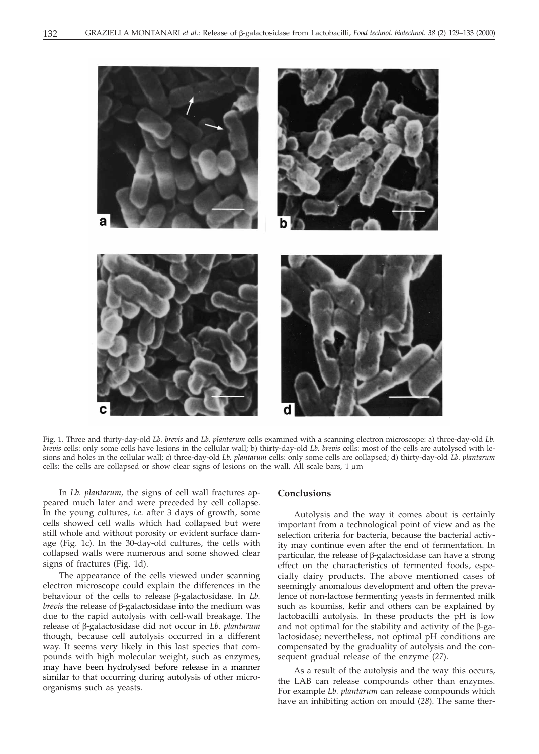

Fig. 1. Three and thirty-day-old *Lb. brevis* and *Lb. plantarum* cells examined with a scanning electron microscope: a) three-day-old *Lb. brevis* cells: only some cells have lesions in the cellular wall; b) thirty-day-old *Lb. brevis* cells: most of the cells are autolysed with lesions and holes in the cellular wall; c) three-day-old *Lb. plantarum* cells: only some cells are collapsed; d) thirty-day-old *Lb. plantarum* cells: the cells are collapsed or show clear signs of lesions on the wall. All scale bars,  $1 \mu m$ 

In *Lb. plantarum,* the signs of cell wall fractures appeared much later and were preceded by cell collapse. In the young cultures, *i.e*. after 3 days of growth, some cells showed cell walls which had collapsed but were still whole and without porosity or evident surface damage (Fig. 1c). In the 30-day-old cultures, the cells with collapsed walls were numerous and some showed clear signs of fractures (Fig. 1d).

The appearance of the cells viewed under scanning electron microscope could explain the differences in the behaviour of the cells to release  $\beta$ -galactosidase. In *Lb*. *brevis* the release of β-galactosidase into the medium was due to the rapid autolysis with cell-wall breakage. The release of β-galactosidase did not occur in *Lb. plantarum* though, because cell autolysis occurred in a different way. It seems very likely in this last species that compounds with high molecular weight, such as enzymes, may have been hydrolysed before release in a manner similar to that occurring during autolysis of other microorganisms such as yeasts.

## **Conclusions**

Autolysis and the way it comes about is certainly important from a technological point of view and as the selection criteria for bacteria, because the bacterial activity may continue even after the end of fermentation. In particular, the release of  $\beta$ -galactosidase can have a strong effect on the characteristics of fermented foods, especially dairy products. The above mentioned cases of seemingly anomalous development and often the prevalence of non-lactose fermenting yeasts in fermented milk such as koumiss, kefir and others can be explained by lactobacilli autolysis. In these products the pH is low and not optimal for the stability and activity of the  $\beta$ -galactosidase; nevertheless, not optimal pH conditions are compensated by the graduality of autolysis and the consequent gradual release of the enzyme (*27*).

As a result of the autolysis and the way this occurs, the LAB can release compounds other than enzymes. For example *Lb. plantarum* can release compounds which have an inhibiting action on mould (*28*). The same ther